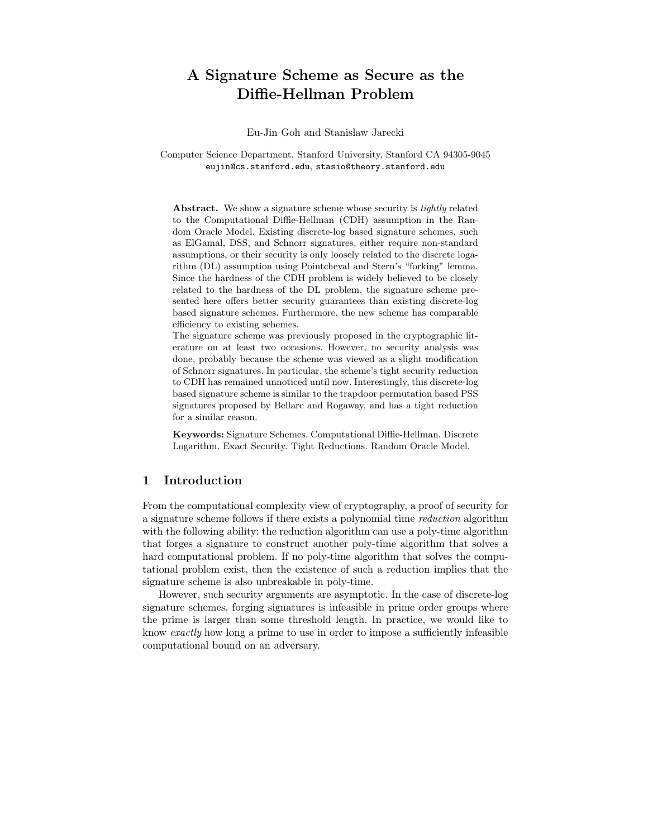# A Signature Scheme as Secure as the Diffie-Hellman Problem

Eu-Jin Goh and Stanisław Jarecki

Computer Science Department, Stanford University, Stanford CA 94305-9045 eujin@cs.stanford.edu, stasio@theory.stanford.edu

Abstract. We show a signature scheme whose security is tightly related to the Computational Diffie-Hellman (CDH) assumption in the Random Oracle Model. Existing discrete-log based signature schemes, such as ElGamal, DSS, and Schnorr signatures, either require non-standard assumptions, or their security is only loosely related to the discrete logarithm (DL) assumption using Pointcheval and Stern's "forking" lemma. Since the hardness of the CDH problem is widely believed to be closely related to the hardness of the DL problem, the signature scheme presented here offers better security guarantees than existing discrete-log based signature schemes. Furthermore, the new scheme has comparable efficiency to existing schemes.

The signature scheme was previously proposed in the cryptographic literature on at least two occasions. However, no security analysis was done, probably because the scheme was viewed as a slight modification of Schnorr signatures. In particular, the scheme's tight security reduction to CDH has remained unnoticed until now. Interestingly, this discrete-log based signature scheme is similar to the trapdoor permutation based PSS signatures proposed by Bellare and Rogaway, and has a tight reduction for a similar reason.

Keywords: Signature Schemes. Computational Diffie-Hellman. Discrete Logarithm. Exact Security. Tight Reductions. Random Oracle Model.

# 1 Introduction

From the computational complexity view of cryptography, a proof of security for a signature scheme follows if there exists a polynomial time reduction algorithm with the following ability: the reduction algorithm can use a poly-time algorithm that forges a signature to construct another poly-time algorithm that solves a hard computational problem. If no poly-time algorithm that solves the computational problem exist, then the existence of such a reduction implies that the signature scheme is also unbreakable in poly-time.

However, such security arguments are asymptotic. In the case of discrete-log signature schemes, forging signatures is infeasible in prime order groups where the prime is larger than some threshold length. In practice, we would like to know exactly how long a prime to use in order to impose a sufficiently infeasible computational bound on an adversary.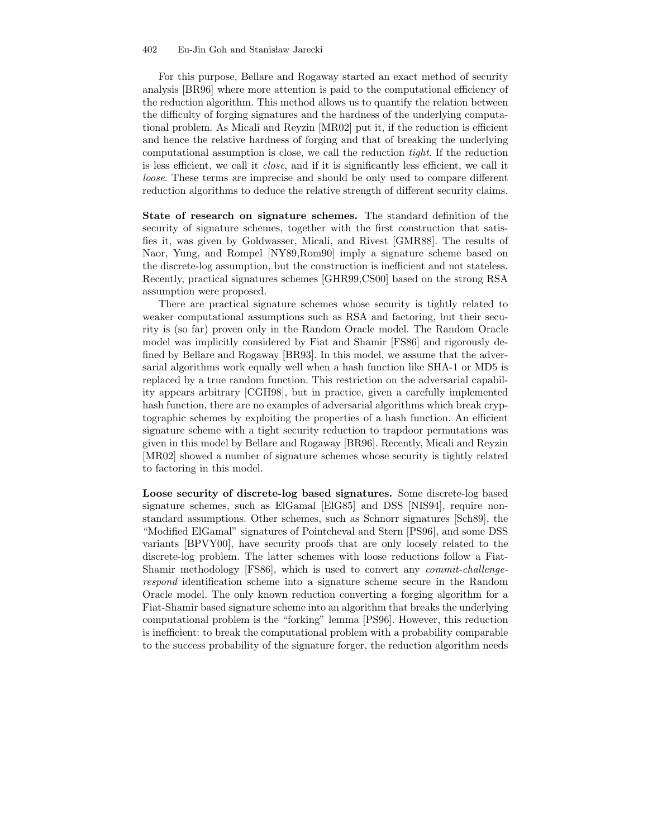#### 402 Eu-Jin Goh and Stanisław Jarecki

For this purpose, Bellare and Rogaway started an exact method of security analysis [BR96] where more attention is paid to the computational efficiency of the reduction algorithm. This method allows us to quantify the relation between the difficulty of forging signatures and the hardness of the underlying computational problem. As Micali and Reyzin [MR02] put it, if the reduction is efficient and hence the relative hardness of forging and that of breaking the underlying computational assumption is close, we call the reduction tight. If the reduction is less efficient, we call it close, and if it is significantly less efficient, we call it loose. These terms are imprecise and should be only used to compare different reduction algorithms to deduce the relative strength of different security claims.

State of research on signature schemes. The standard definition of the security of signature schemes, together with the first construction that satisfies it, was given by Goldwasser, Micali, and Rivest [GMR88]. The results of Naor, Yung, and Rompel [NY89,Rom90] imply a signature scheme based on the discrete-log assumption, but the construction is inefficient and not stateless. Recently, practical signatures schemes [GHR99,CS00] based on the strong RSA assumption were proposed.

There are practical signature schemes whose security is tightly related to weaker computational assumptions such as RSA and factoring, but their security is (so far) proven only in the Random Oracle model. The Random Oracle model was implicitly considered by Fiat and Shamir [FS86] and rigorously defined by Bellare and Rogaway [BR93]. In this model, we assume that the adversarial algorithms work equally well when a hash function like SHA-1 or MD5 is replaced by a true random function. This restriction on the adversarial capability appears arbitrary [CGH98], but in practice, given a carefully implemented hash function, there are no examples of adversarial algorithms which break cryptographic schemes by exploiting the properties of a hash function. An efficient signature scheme with a tight security reduction to trapdoor permutations was given in this model by Bellare and Rogaway [BR96]. Recently, Micali and Reyzin [MR02] showed a number of signature schemes whose security is tightly related to factoring in this model.

Loose security of discrete-log based signatures. Some discrete-log based signature schemes, such as ElGamal [ElG85] and DSS [NIS94], require nonstandard assumptions. Other schemes, such as Schnorr signatures [Sch89], the "Modified ElGamal" signatures of Pointcheval and Stern [PS96], and some DSS variants [BPVY00], have security proofs that are only loosely related to the discrete-log problem. The latter schemes with loose reductions follow a Fiat-Shamir methodology [FS86], which is used to convert any commit-challengerespond identification scheme into a signature scheme secure in the Random Oracle model. The only known reduction converting a forging algorithm for a Fiat-Shamir based signature scheme into an algorithm that breaks the underlying computational problem is the "forking" lemma [PS96]. However, this reduction is inefficient: to break the computational problem with a probability comparable to the success probability of the signature forger, the reduction algorithm needs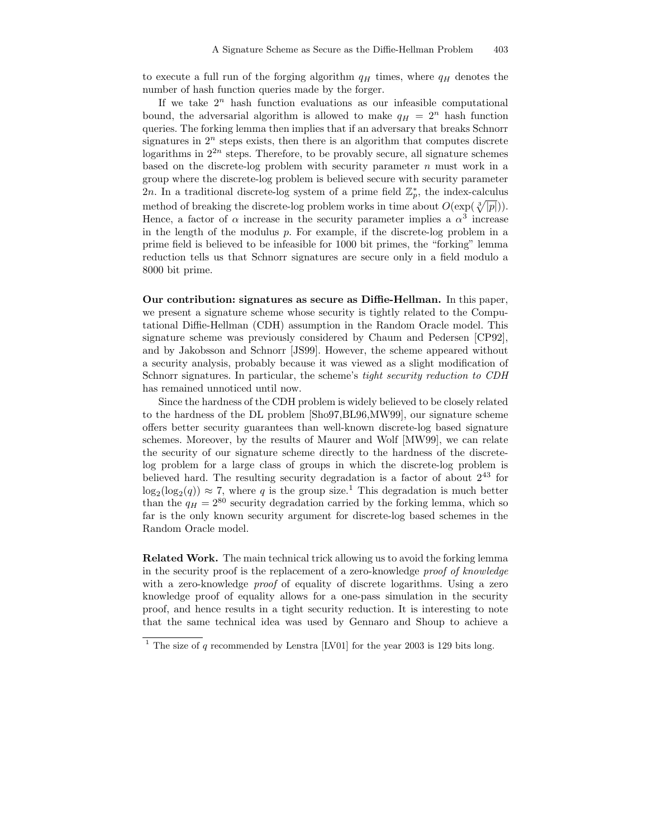to execute a full run of the forging algorithm  $q_H$  times, where  $q_H$  denotes the number of hash function queries made by the forger.

If we take  $2^n$  hash function evaluations as our infeasible computational bound, the adversarial algorithm is allowed to make  $q_H = 2^n$  hash function queries. The forking lemma then implies that if an adversary that breaks Schnorr signatures in  $2^n$  steps exists, then there is an algorithm that computes discrete logarithms in  $2^{2n}$  steps. Therefore, to be provably secure, all signature schemes based on the discrete-log problem with security parameter  $n$  must work in a group where the discrete-log problem is believed secure with security parameter 2n. In a traditional discrete-log system of a prime field  $\mathbb{Z}_p^*$ , the index-calculus method of breaking the discrete-log problem works in time about  $O(\exp(\sqrt[3]{|p|})).$ Hence, a factor of  $\alpha$  increase in the security parameter implies a  $\alpha^3$  increase in the length of the modulus  $p$ . For example, if the discrete-log problem in a prime field is believed to be infeasible for 1000 bit primes, the "forking" lemma reduction tells us that Schnorr signatures are secure only in a field modulo a 8000 bit prime.

Our contribution: signatures as secure as Diffie-Hellman. In this paper, we present a signature scheme whose security is tightly related to the Computational Diffie-Hellman (CDH) assumption in the Random Oracle model. This signature scheme was previously considered by Chaum and Pedersen [CP92], and by Jakobsson and Schnorr [JS99]. However, the scheme appeared without a security analysis, probably because it was viewed as a slight modification of Schnorr signatures. In particular, the scheme's tight security reduction to CDH has remained unnoticed until now.

Since the hardness of the CDH problem is widely believed to be closely related to the hardness of the DL problem [Sho97,BL96,MW99], our signature scheme offers better security guarantees than well-known discrete-log based signature schemes. Moreover, by the results of Maurer and Wolf [MW99], we can relate the security of our signature scheme directly to the hardness of the discretelog problem for a large class of groups in which the discrete-log problem is believed hard. The resulting security degradation is a factor of about  $2^{43}$  for  $\log_2(\log_2(q)) \approx 7$ , where q is the group size.<sup>1</sup> This degradation is much better than the  $q_H = 2^{80}$  security degradation carried by the forking lemma, which so far is the only known security argument for discrete-log based schemes in the Random Oracle model.

Related Work. The main technical trick allowing us to avoid the forking lemma in the security proof is the replacement of a zero-knowledge proof of knowledge with a zero-knowledge *proof* of equality of discrete logarithms. Using a zero knowledge proof of equality allows for a one-pass simulation in the security proof, and hence results in a tight security reduction. It is interesting to note that the same technical idea was used by Gennaro and Shoup to achieve a

<sup>&</sup>lt;sup>1</sup> The size of q recommended by Lenstra [LV01] for the year 2003 is 129 bits long.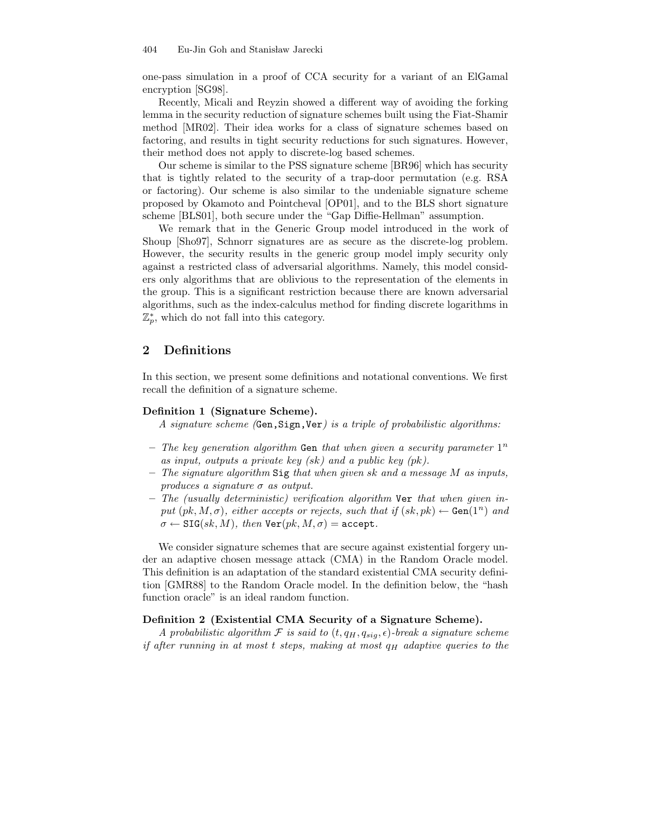one-pass simulation in a proof of CCA security for a variant of an ElGamal encryption [SG98].

Recently, Micali and Reyzin showed a different way of avoiding the forking lemma in the security reduction of signature schemes built using the Fiat-Shamir method [MR02]. Their idea works for a class of signature schemes based on factoring, and results in tight security reductions for such signatures. However, their method does not apply to discrete-log based schemes.

Our scheme is similar to the PSS signature scheme [BR96] which has security that is tightly related to the security of a trap-door permutation (e.g. RSA or factoring). Our scheme is also similar to the undeniable signature scheme proposed by Okamoto and Pointcheval [OP01], and to the BLS short signature scheme [BLS01], both secure under the "Gap Diffie-Hellman" assumption.

We remark that in the Generic Group model introduced in the work of Shoup [Sho97], Schnorr signatures are as secure as the discrete-log problem. However, the security results in the generic group model imply security only against a restricted class of adversarial algorithms. Namely, this model considers only algorithms that are oblivious to the representation of the elements in the group. This is a significant restriction because there are known adversarial algorithms, such as the index-calculus method for finding discrete logarithms in  $\mathbb{Z}_p^*$ , which do not fall into this category.

## 2 Definitions

In this section, we present some definitions and notational conventions. We first recall the definition of a signature scheme.

### Definition 1 (Signature Scheme).

A signature scheme (Gen,Sign,Ver) is a triple of probabilistic algorithms:

- The key generation algorithm Gen that when given a security parameter  $1^n$ as input, outputs a private key (sk) and a public key (pk).
- $-$  The signature algorithm Sig that when given sk and a message M as inputs, produces a signature  $\sigma$  as output.
- The (usually deterministic) verification algorithm Ver that when given input  $(pk, M, \sigma)$ , either accepts or rejects, such that if  $(sk, pk) \leftarrow$  Gen $(1^n)$  and  $\sigma \leftarrow \texttt{SIG}(sk, M), \text{ then } \texttt{Ver}(pk, M, \sigma) = \texttt{accept}.$

We consider signature schemes that are secure against existential forgery under an adaptive chosen message attack (CMA) in the Random Oracle model. This definition is an adaptation of the standard existential CMA security definition [GMR88] to the Random Oracle model. In the definition below, the "hash function oracle" is an ideal random function.

#### Definition 2 (Existential CMA Security of a Signature Scheme).

A probabilistic algorithm  $\mathcal F$  is said to  $(t, q_H, q_{siq}, \epsilon)$ -break a signature scheme if after running in at most t steps, making at most  $q_H$  adaptive queries to the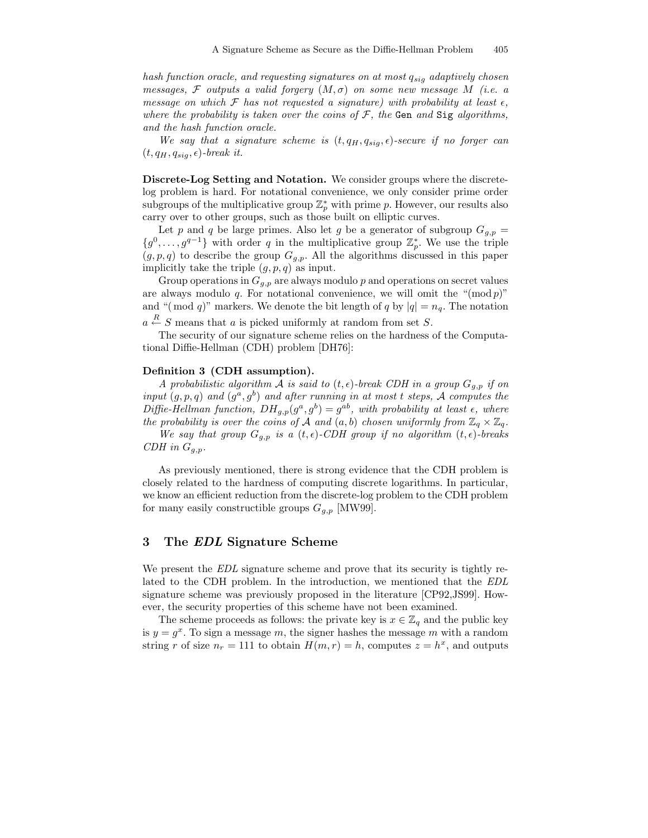hash function oracle, and requesting signatures on at most  $q_{sig}$  adaptively chosen messages, F outputs a valid forgery  $(M, \sigma)$  on some new message M (i.e. a message on which F has not requested a signature) with probability at least  $\epsilon$ , where the probability is taken over the coins of  $F$ , the Gen and Sig algorithms, and the hash function oracle.

We say that a signature scheme is  $(t, q_H, q_{sig}, \epsilon)$ -secure if no forger can  $(t, q_H, q_{sia}, \epsilon)$ -break it.

Discrete-Log Setting and Notation. We consider groups where the discretelog problem is hard. For notational convenience, we only consider prime order subgroups of the multiplicative group  $\mathbb{Z}_p^*$  with prime p. However, our results also carry over to other groups, such as those built on elliptic curves.

Let p and q be large primes. Also let g be a generator of subgroup  $G_{g,p} =$  ${g^0, \ldots, g^{q-1}}$  with order q in the multiplicative group  $\mathbb{Z}_p^*$ . We use the triple  $(g, p, q)$  to describe the group  $G_{g,p}$ . All the algorithms discussed in this paper implicitly take the triple  $(g, p, q)$  as input.

Group operations in  $G_{g,p}$  are always modulo p and operations on secret values are always modulo q. For notational convenience, we will omit the " $(\text{mod } p)$ " and "(mod q)" markers. We denote the bit length of q by  $|q| = n_q$ . The notation  $a \stackrel{R}{\leftarrow} S$  means that a is picked uniformly at random from set S.

The security of our signature scheme relies on the hardness of the Computational Diffie-Hellman (CDH) problem [DH76]:

#### Definition 3 (CDH assumption).

A probabilistic algorithm A is said to  $(t, \epsilon)$ -break CDH in a group  $G_{g,p}$  if on input  $(g, p, q)$  and  $(g^a, g^b)$  and after running in at most t steps, A computes the Diffie-Hellman function,  $DH_{g,p}(g^a, g^b) = g^{ab}$ , with probability at least  $\epsilon$ , where the probability is over the coins of A and  $(a, b)$  chosen uniformly from  $\mathbb{Z}_q \times \mathbb{Z}_q$ .

We say that group  $G_{g,p}$  is a  $(t, \epsilon)$ -CDH group if no algorithm  $(t, \epsilon)$ -breaks CDH in  $G_{g,p}$ .

As previously mentioned, there is strong evidence that the CDH problem is closely related to the hardness of computing discrete logarithms. In particular, we know an efficient reduction from the discrete-log problem to the CDH problem for many easily constructible groups  $G_{g,p}$  [MW99].

## 3 The EDL Signature Scheme

We present the EDL signature scheme and prove that its security is tightly related to the CDH problem. In the introduction, we mentioned that the EDL signature scheme was previously proposed in the literature [CP92,JS99]. However, the security properties of this scheme have not been examined.

The scheme proceeds as follows: the private key is  $x \in \mathbb{Z}_q$  and the public key is  $y = g^x$ . To sign a message m, the signer hashes the message m with a random string r of size  $n_r = 111$  to obtain  $H(m, r) = h$ , computes  $z = h^x$ , and outputs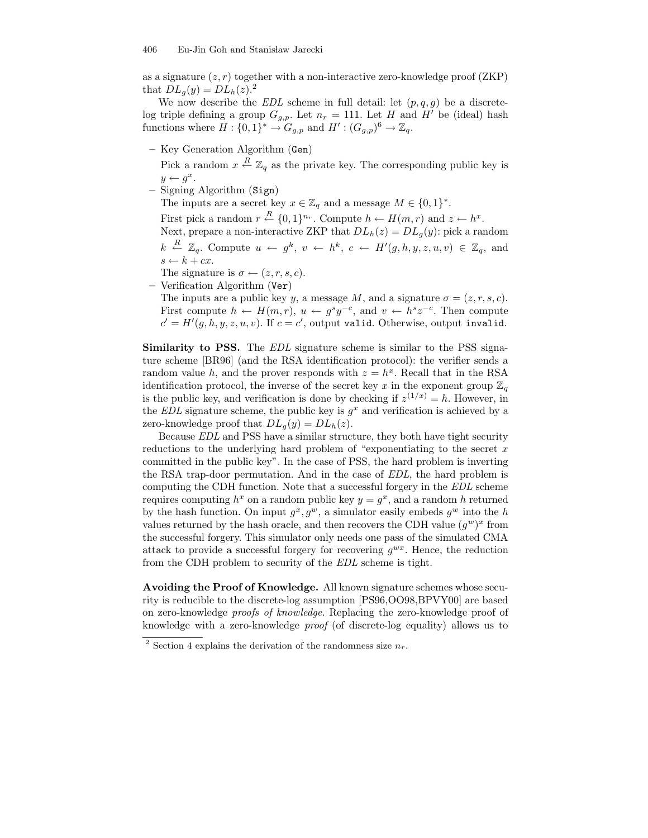as a signature  $(z, r)$  together with a non-interactive zero-knowledge proof  $(ZKP)$ that  $DL_q(y) = DL_h(z).$ <sup>2</sup>

We now describe the  $EDL$  scheme in full detail: let  $(p, q, g)$  be a discretelog triple defining a group  $G_{g,p}$ . Let  $n_r = 111$ . Let H and H' be (ideal) hash functions where  $H: \{0,1\}^* \to G_{g,p}$  and  $H': (G_{g,p})^6 \to \mathbb{Z}_q$ .

– Key Generation Algorithm (Gen)

Pick a random  $x \stackrel{R}{\leftarrow} \mathbb{Z}_q$  as the private key. The corresponding public key is  $y \leftarrow g^x$ .

– Signing Algorithm (Sign)

The inputs are a secret key  $x \in \mathbb{Z}_q$  and a message  $M \in \{0,1\}^*$ .

First pick a random  $r \stackrel{R}{\leftarrow} \{0,1\}^{n_r}$ . Compute  $h \leftarrow H(m,r)$  and  $z \leftarrow h^x$ .

Next, prepare a non-interactive ZKP that  $DL<sub>h</sub>(z) = DL<sub>q</sub>(y)$ : pick a random  $k \stackrel{R}{\leftarrow} \mathbb{Z}_q$ . Compute  $u \leftarrow g^k$ ,  $v \leftarrow h^k$ ,  $c \leftarrow H'(g, h, y, z, u, v) \in \mathbb{Z}_q$ , and  $s \leftarrow k + cx.$ 

The signature is  $\sigma \leftarrow (z, r, s, c)$ .

– Verification Algorithm (Ver)

The inputs are a public key y, a message M, and a signature  $\sigma = (z, r, s, c)$ . First compute  $h \leftarrow H(m,r)$ ,  $u \leftarrow g^s y^{-c}$ , and  $v \leftarrow h^s z^{-c}$ . Then compute  $c' = H'(g, h, y, z, u, v)$ . If  $c = c'$ , output valid. Otherwise, output invalid.

Similarity to PSS. The EDL signature scheme is similar to the PSS signature scheme [BR96] (and the RSA identification protocol): the verifier sends a random value h, and the prover responds with  $z = h^x$ . Recall that in the RSA identification protocol, the inverse of the secret key x in the exponent group  $\mathbb{Z}_q$ is the public key, and verification is done by checking if  $z^{(1/x)} = h$ . However, in the EDL signature scheme, the public key is  $g^x$  and verification is achieved by a zero-knowledge proof that  $DL_q(y) = DL_h(z)$ .

Because EDL and PSS have a similar structure, they both have tight security reductions to the underlying hard problem of "exponentiating to the secret  $x$ committed in the public key". In the case of PSS, the hard problem is inverting the RSA trap-door permutation. And in the case of EDL, the hard problem is computing the CDH function. Note that a successful forgery in the EDL scheme requires computing  $h^x$  on a random public key  $y = g^x$ , and a random h returned by the hash function. On input  $g^x, g^w$ , a simulator easily embeds  $g^w$  into the h values returned by the hash oracle, and then recovers the CDH value  $(g^w)^x$  from the successful forgery. This simulator only needs one pass of the simulated CMA attack to provide a successful forgery for recovering  $g^{wx}$ . Hence, the reduction from the CDH problem to security of the EDL scheme is tight.

Avoiding the Proof of Knowledge. All known signature schemes whose security is reducible to the discrete-log assumption [PS96,OO98,BPVY00] are based on zero-knowledge proofs of knowledge. Replacing the zero-knowledge proof of knowledge with a zero-knowledge proof (of discrete-log equality) allows us to

<sup>&</sup>lt;sup>2</sup> Section 4 explains the derivation of the randomness size  $n_r$ .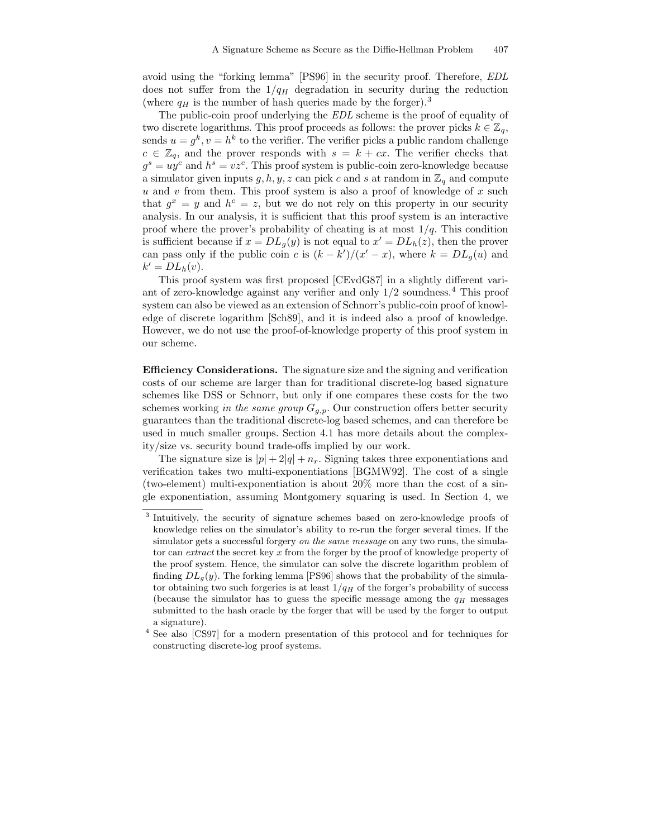avoid using the "forking lemma" [PS96] in the security proof. Therefore, EDL does not suffer from the  $1/q_H$  degradation in security during the reduction (where  $q_H$  is the number of hash queries made by the forger).<sup>3</sup>

The public-coin proof underlying the EDL scheme is the proof of equality of two discrete logarithms. This proof proceeds as follows: the prover picks  $k \in \mathbb{Z}_q$ , sends  $u = g^k$ ,  $v = h^k$  to the verifier. The verifier picks a public random challenge  $c \in \mathbb{Z}_q$ , and the prover responds with  $s = k + cx$ . The verifier checks that  $g^s = uy^c$  and  $h^s = vz^c$ . This proof system is public-coin zero-knowledge because a simulator given inputs g, h, y, z can pick c and s at random in  $\mathbb{Z}_q$  and compute  $u$  and  $v$  from them. This proof system is also a proof of knowledge of  $x$  such that  $g^x = y$  and  $h^c = z$ , but we do not rely on this property in our security analysis. In our analysis, it is sufficient that this proof system is an interactive proof where the prover's probability of cheating is at most  $1/q$ . This condition is sufficient because if  $x = DL_g(y)$  is not equal to  $x' = DL_h(z)$ , then the prover can pass only if the public coin c is  $(k - k')/(x' - x)$ , where  $k = DL_g(u)$  and  $k' = DL_h(v).$ 

This proof system was first proposed [CEvdG87] in a slightly different variant of zero-knowledge against any verifier and only  $1/2$  soundness.<sup>4</sup> This proof system can also be viewed as an extension of Schnorr's public-coin proof of knowledge of discrete logarithm [Sch89], and it is indeed also a proof of knowledge. However, we do not use the proof-of-knowledge property of this proof system in our scheme.

Efficiency Considerations. The signature size and the signing and verification costs of our scheme are larger than for traditional discrete-log based signature schemes like DSS or Schnorr, but only if one compares these costs for the two schemes working in the same group  $G_{g,p}$ . Our construction offers better security guarantees than the traditional discrete-log based schemes, and can therefore be used in much smaller groups. Section 4.1 has more details about the complexity/size vs. security bound trade-offs implied by our work.

The signature size is  $|p| + 2|q| + n_r$ . Signing takes three exponentiations and verification takes two multi-exponentiations [BGMW92]. The cost of a single (two-element) multi-exponentiation is about 20% more than the cost of a single exponentiation, assuming Montgomery squaring is used. In Section 4, we

<sup>&</sup>lt;sup>3</sup> Intuitively, the security of signature schemes based on zero-knowledge proofs of knowledge relies on the simulator's ability to re-run the forger several times. If the simulator gets a successful forgery *on the same message* on any two runs, the simulator can extract the secret key x from the forger by the proof of knowledge property of the proof system. Hence, the simulator can solve the discrete logarithm problem of finding  $DL_g(y)$ . The forking lemma [PS96] shows that the probability of the simulator obtaining two such forgeries is at least  $1/q_H$  of the forger's probability of success (because the simulator has to guess the specific message among the  $q_H$  messages submitted to the hash oracle by the forger that will be used by the forger to output a signature).

<sup>4</sup> See also [CS97] for a modern presentation of this protocol and for techniques for constructing discrete-log proof systems.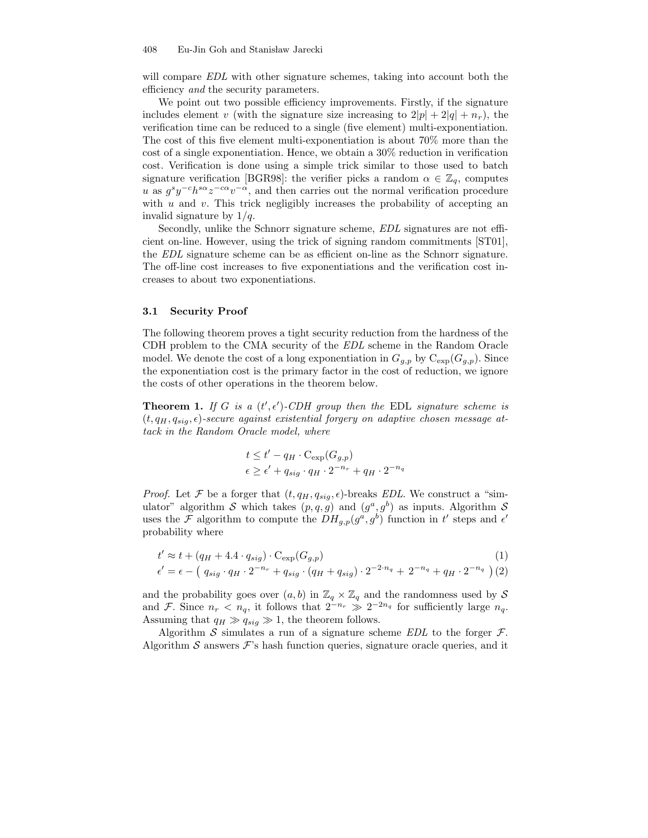will compare EDL with other signature schemes, taking into account both the efficiency and the security parameters.

We point out two possible efficiency improvements. Firstly, if the signature includes element v (with the signature size increasing to  $2|p| + 2|q| + n_r$ ), the verification time can be reduced to a single (five element) multi-exponentiation. The cost of this five element multi-exponentiation is about 70% more than the cost of a single exponentiation. Hence, we obtain a 30% reduction in verification cost. Verification is done using a simple trick similar to those used to batch signature verification [BGR98]: the verifier picks a random  $\alpha \in \mathbb{Z}_q$ , computes u as  $g^s y^{-c} h^{s\alpha} z^{-c\alpha} v^{-\alpha}$ , and then carries out the normal verification procedure with  $u$  and  $v$ . This trick negligibly increases the probability of accepting an invalid signature by  $1/q$ .

Secondly, unlike the Schnorr signature scheme, EDL signatures are not efficient on-line. However, using the trick of signing random commitments [ST01], the EDL signature scheme can be as efficient on-line as the Schnorr signature. The off-line cost increases to five exponentiations and the verification cost increases to about two exponentiations.

#### 3.1 Security Proof

The following theorem proves a tight security reduction from the hardness of the CDH problem to the CMA security of the EDL scheme in the Random Oracle model. We denote the cost of a long exponentiation in  $G_{g,p}$  by  $C_{\exp}(G_{g,p})$ . Since the exponentiation cost is the primary factor in the cost of reduction, we ignore the costs of other operations in the theorem below.

**Theorem 1.** If G is a  $(t', \epsilon')$ -CDH group then the EDL signature scheme is  $(t, q_H, q_{sig}, \epsilon)$ -secure against existential forgery on adaptive chosen message attack in the Random Oracle model, where

$$
t \le t' - q_H \cdot C_{\exp}(G_{g,p})
$$
  

$$
\epsilon \ge \epsilon' + q_{sig} \cdot q_H \cdot 2^{-n_r} + q_H \cdot 2^{-n_q}
$$

*Proof.* Let F be a forger that  $(t, q_H, q_{sig}, \epsilon)$ -breaks EDL. We construct a "simulator" algorithm S which takes  $(p, q, g)$  and  $(g^a, g^b)$  as inputs. Algorithm S uses the  $\mathcal F$  algorithm to compute the  $DH_{g,p}(g^a, g^b)$  function in  $t'$  steps and  $\epsilon'$ probability where

$$
t' \approx t + (q_H + 4.4 \cdot q_{sig}) \cdot C_{exp}(G_{g,p})
$$
  
\n
$$
\epsilon' = \epsilon - (q_{sig} \cdot q_H \cdot 2^{-n_r} + q_{sig} \cdot (q_H + q_{sig}) \cdot 2^{-2 \cdot n_q} + 2^{-n_q} + q_H \cdot 2^{-n_q})
$$
\n(1)

and the probability goes over  $(a, b)$  in  $\mathbb{Z}_q \times \mathbb{Z}_q$  and the randomness used by S and F. Since  $n_r < n_q$ , it follows that  $2^{-n_r} \gg 2^{-2n_q}$  for sufficiently large  $n_q$ . Assuming that  $q_H \gg q_{sig} \gg 1$ , the theorem follows.

Algorithm S simulates a run of a signature scheme  $EDL$  to the forger  $\mathcal{F}$ . Algorithm S answers  $\mathcal{F}$ 's hash function queries, signature oracle queries, and it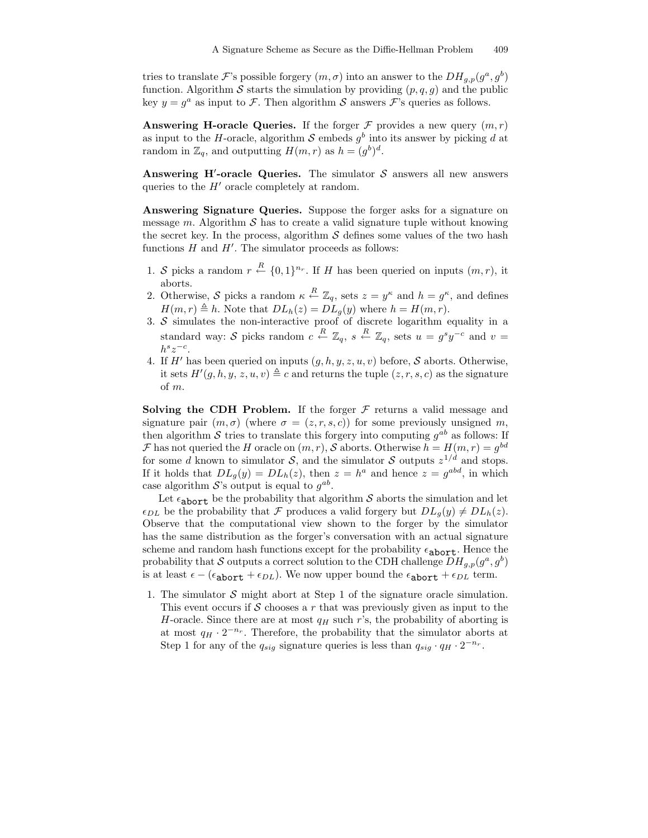tries to translate  $\mathcal{F}$ 's possible forgery  $(m, \sigma)$  into an answer to the  $DH_{g,p}(g^a, g^b)$ function. Algorithm S starts the simulation by providing  $(p, q, g)$  and the public key  $y = g^a$  as input to  $\mathcal{F}$ . Then algorithm  $\mathcal S$  answers  $\mathcal F$ 's queries as follows.

**Answering H-oracle Queries.** If the forger  $\mathcal F$  provides a new query  $(m, r)$ as input to the H-oracle, algorithm  $S$  embeds  $g^b$  into its answer by picking d at random in  $\mathbb{Z}_q$ , and outputting  $H(m,r)$  as  $h = (g^b)^d$ .

Answering H'-oracle Queries. The simulator  $S$  answers all new answers queries to the  $H'$  oracle completely at random.

Answering Signature Queries. Suppose the forger asks for a signature on message m. Algorithm  $\mathcal S$  has to create a valid signature tuple without knowing the secret key. In the process, algorithm  $S$  defines some values of the two hash functions  $H$  and  $H'$ . The simulator proceeds as follows:

- 1. S picks a random  $r \stackrel{R}{\leftarrow} \{0,1\}^{n_r}$ . If H has been queried on inputs  $(m, r)$ , it aborts.
- 2. Otherwise, S picks a random  $\kappa \stackrel{R}{\leftarrow} \mathbb{Z}_q$ , sets  $z = y^{\kappa}$  and  $h = g^{\kappa}$ , and defines  $H(m, r) \triangleq h$ . Note that  $DL<sub>h</sub>(z) = DL<sub>q</sub>(y)$  where  $h = H(m, r)$ .
- 3.  $S$  simulates the non-interactive proof of discrete logarithm equality in a standard way: S picks random  $c \stackrel{R}{\leftarrow} \mathbb{Z}_q$ ,  $s \stackrel{R}{\leftarrow} \mathbb{Z}_q$ , sets  $u = g^s y^{-c}$  and  $v =$  $h^s z^{-c}$ .
- 4. If  $H'$  has been queried on inputs  $(g, h, y, z, u, v)$  before,  $S$  aborts. Otherwise, it sets  $H'(g, h, y, z, u, v) \triangleq c$  and returns the tuple  $(z, r, s, c)$  as the signature of m.

Solving the CDH Problem. If the forger  $\mathcal F$  returns a valid message and signature pair  $(m, \sigma)$  (where  $\sigma = (z, r, s, c)$ ) for some previously unsigned m, then algorithm S tries to translate this forgery into computing  $g^{ab}$  as follows: If  $\mathcal F$  has not queried the H oracle on  $(m, r)$ , S aborts. Otherwise  $h = H(m, r) = g^{bd}$ for some d known to simulator  $S$ , and the simulator S outputs  $z^{1/d}$  and stops. If it holds that  $DL_g(y) = DL_h(z)$ , then  $z = h^a$  and hence  $z = g^{abd}$ , in which case algorithm  $S$ 's output is equal to  $g^{ab}$ .

Let  $\epsilon_{\text{abort}}$  be the probability that algorithm S aborts the simulation and let  $\epsilon_{DL}$  be the probability that F produces a valid forgery but  $DL_q(y) \neq DL_h(z)$ . Observe that the computational view shown to the forger by the simulator has the same distribution as the forger's conversation with an actual signature scheme and random hash functions except for the probability  $\epsilon_{\text{abort}}$ . Hence the probability that S outputs a correct solution to the CDH challenge  $DH_{g,p}(g^a, g^b)$ is at least  $\epsilon - (\epsilon_{\text{abort}} + \epsilon_{DL})$ . We now upper bound the  $\epsilon_{\text{abort}} + \epsilon_{DL}$  term.

1. The simulator  $S$  might abort at Step 1 of the signature oracle simulation. This event occurs if S chooses a r that was previously given as input to the H-oracle. Since there are at most  $q_H$  such r's, the probability of aborting is at most  $q_H \cdot 2^{-n_r}$ . Therefore, the probability that the simulator aborts at Step 1 for any of the  $q_{sig}$  signature queries is less than  $q_{sig} \cdot q_H \cdot 2^{-n_r}$ .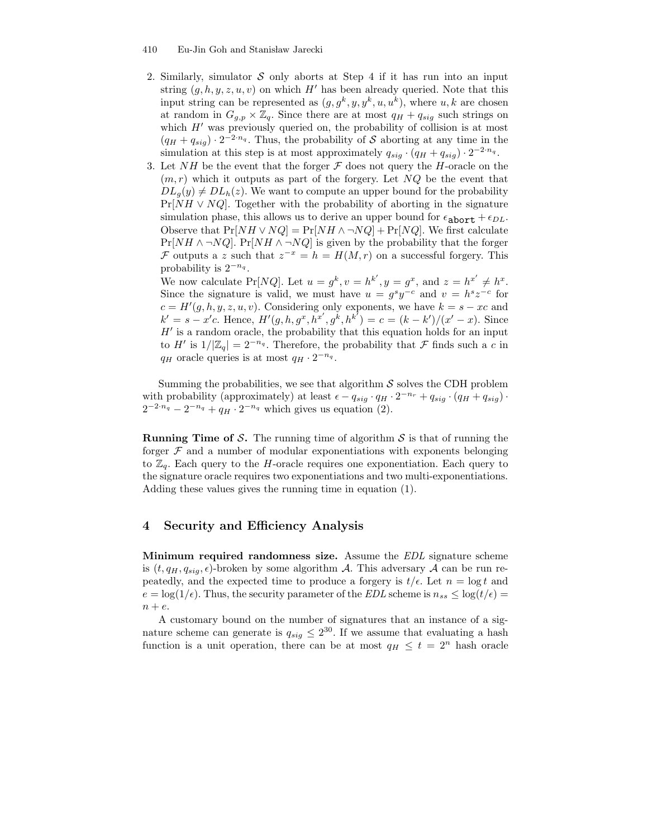#### 410 Eu-Jin Goh and Stanisław Jarecki

- 2. Similarly, simulator  $S$  only aborts at Step 4 if it has run into an input string  $(g, h, y, z, u, v)$  on which H' has been already queried. Note that this input string can be represented as  $(g, g^k, y, y^k, u, u^k)$ , where  $u, k$  are chosen at random in  $G_{g,p} \times \mathbb{Z}_q$ . Since there are at most  $q_H + q_{sig}$  such strings on which  $H'$  was previously queried on, the probability of collision is at most  $(q_H + q_{sig}) \cdot 2^{-2 \cdot n_q}$ . Thus, the probability of S aborting at any time in the simulation at this step is at most approximately  $q_{sig} \cdot (q_H + q_{sig}) \cdot 2^{-2 \cdot n_q}$ .
- 3. Let NH be the event that the forger  $\mathcal F$  does not query the H-oracle on the  $(m, r)$  which it outputs as part of the forgery. Let NQ be the event that  $DL_q(y) \neq DL_h(z)$ . We want to compute an upper bound for the probability  $Pr[NH \vee NQ]$ . Together with the probability of aborting in the signature simulation phase, this allows us to derive an upper bound for  $\epsilon_{\text{abort}} + \epsilon_{DL}$ . Observe that  $Pr[NH \vee NQ] = Pr[NH \wedge \neg NQ] + Pr[NQ]$ . We first calculate  $Pr[NH \land \neg NQ]$ .  $Pr[NH \land \neg NQ]$  is given by the probability that the forger  $\mathcal F$  outputs a z such that  $z^{-x} = h = H(M, r)$  on a successful forgery. This probability is  $2^{-n_q}$ .

We now calculate Pr[NQ]. Let  $u = g^k$ ,  $v = h^{k'}$ ,  $y = g^x$ , and  $z = h^{x'} \neq h^x$ . Since the signature is valid, we must have  $u = g^{s}y^{-c}$  and  $v = h^{s}z^{-c}$  for  $c = H'(g, h, y, z, u, v)$ . Considering only exponents, we have  $k = s - xc$  and  $k' = s - x'c$ . Hence,  $H'(g, h, g^x, h^{x'}, g^k, h^{k'}) = c = (k - k')/(x' - x)$ . Since  $H'$  is a random oracle, the probability that this equation holds for an input to  $H'$  is  $1/|\mathbb{Z}_q| = 2^{-n_q}$ . Therefore, the probability that  $\mathcal F$  finds such a c in  $q_H$  oracle queries is at most  $q_H \cdot 2^{-n_q}$ .

Summing the probabilities, we see that algorithm  $S$  solves the CDH problem with probability (approximately) at least  $\epsilon - q_{sig} \cdot q_H \cdot 2^{-n_r} + q_{sig} \cdot (q_H + q_{sig})$ .  $2^{-2 \cdot n_q} - 2^{-n_q} + q_H \cdot 2^{-n_q}$  which gives us equation (2).

**Running Time of S.** The running time of algorithm  $S$  is that of running the forger  $\mathcal F$  and a number of modular exponentiations with exponents belonging to  $\mathbb{Z}_q$ . Each query to the H-oracle requires one exponentiation. Each query to the signature oracle requires two exponentiations and two multi-exponentiations. Adding these values gives the running time in equation (1).

## 4 Security and Efficiency Analysis

Minimum required randomness size. Assume the EDL signature scheme is  $(t, q_H, q_{sig}, \epsilon)$ -broken by some algorithm A. This adversary A can be run repeatedly, and the expected time to produce a forgery is  $t/\epsilon$ . Let  $n = \log t$  and  $e = \log(1/\epsilon)$ . Thus, the security parameter of the EDL scheme is  $n_{ss} \leq \log(t/\epsilon)$  $n + e$ .

A customary bound on the number of signatures that an instance of a signature scheme can generate is  $q_{sig} \leq 2^{30}$ . If we assume that evaluating a hash function is a unit operation, there can be at most  $q_H \leq t = 2^n$  hash oracle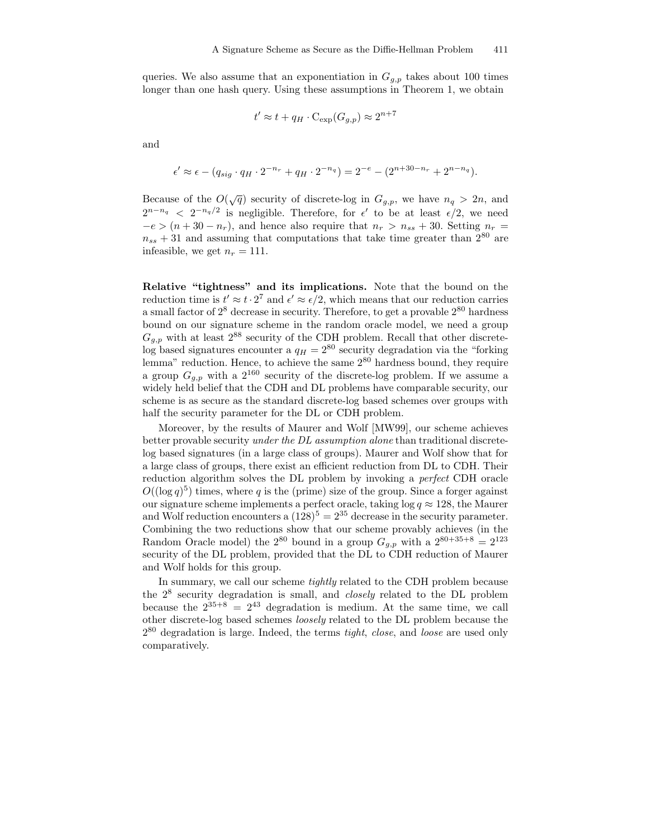queries. We also assume that an exponentiation in  $G_{g,p}$  takes about 100 times longer than one hash query. Using these assumptions in Theorem 1, we obtain

$$
t' \approx t + q_H \cdot \mathrm{C}_{\exp}(G_{g,p}) \approx 2^{n+7}
$$

and

$$
\epsilon' \approx \epsilon - (q_{sig} \cdot q_H \cdot 2^{-n_r} + q_H \cdot 2^{-n_q}) = 2^{-e} - (2^{n+30-n_r} + 2^{n-n_q}).
$$

Because of the  $O(\sqrt{q})$  security of discrete-log in  $G_{g,p}$ , we have  $n_q > 2n$ , and  $2^{n-n_q} < 2^{-n_q/2}$  is negligible. Therefore, for  $\epsilon'$  to be at least  $\epsilon/2$ , we need  $-e > (n + 30 - n_r)$ , and hence also require that  $n_r > n_{ss} + 30$ . Setting  $n_r =$  $n_{ss} + 31$  and assuming that computations that take time greater than  $2^{80}$  are infeasible, we get  $n_r = 111$ .

Relative "tightness" and its implications. Note that the bound on the reduction time is  $t' \approx t \cdot 2^7$  and  $\epsilon' \approx \epsilon/2$ , which means that our reduction carries a small factor of  $2^8$  decrease in security. Therefore, to get a provable  $2^{80}$  hardness bound on our signature scheme in the random oracle model, we need a group  $G_{g,p}$  with at least  $2^{88}$  security of the CDH problem. Recall that other discretelog based signatures encounter a  $q_H = 2^{80}$  security degradation via the "forking" lemma" reduction. Hence, to achieve the same 2 <sup>80</sup> hardness bound, they require a group  $G_{g,p}$  with a  $2^{160}$  security of the discrete-log problem. If we assume a widely held belief that the CDH and DL problems have comparable security, our scheme is as secure as the standard discrete-log based schemes over groups with half the security parameter for the DL or CDH problem.

Moreover, by the results of Maurer and Wolf [MW99], our scheme achieves better provable security under the DL assumption alone than traditional discretelog based signatures (in a large class of groups). Maurer and Wolf show that for a large class of groups, there exist an efficient reduction from DL to CDH. Their reduction algorithm solves the DL problem by invoking a perfect CDH oracle  $O((\log q)^5)$  times, where q is the (prime) size of the group. Since a forger against our signature scheme implements a perfect oracle, taking  $\log q \approx 128$ , the Maurer and Wolf reduction encounters a  $(128)^5 = 2^{35}$  decrease in the security parameter. Combining the two reductions show that our scheme provably achieves (in the Random Oracle model) the  $2^{80}$  bound in a group  $G_{g,p}$  with a  $2^{80+35+8} = 2^{123}$ security of the DL problem, provided that the DL to CDH reduction of Maurer and Wolf holds for this group.

In summary, we call our scheme tightly related to the CDH problem because the  $2^8$  security degradation is small, and *closely* related to the DL problem because the  $2^{35+8} = 2^{43}$  degradation is medium. At the same time, we call other discrete-log based schemes loosely related to the DL problem because the  $2^{80}$  degradation is large. Indeed, the terms *tight, close,* and *loose* are used only comparatively.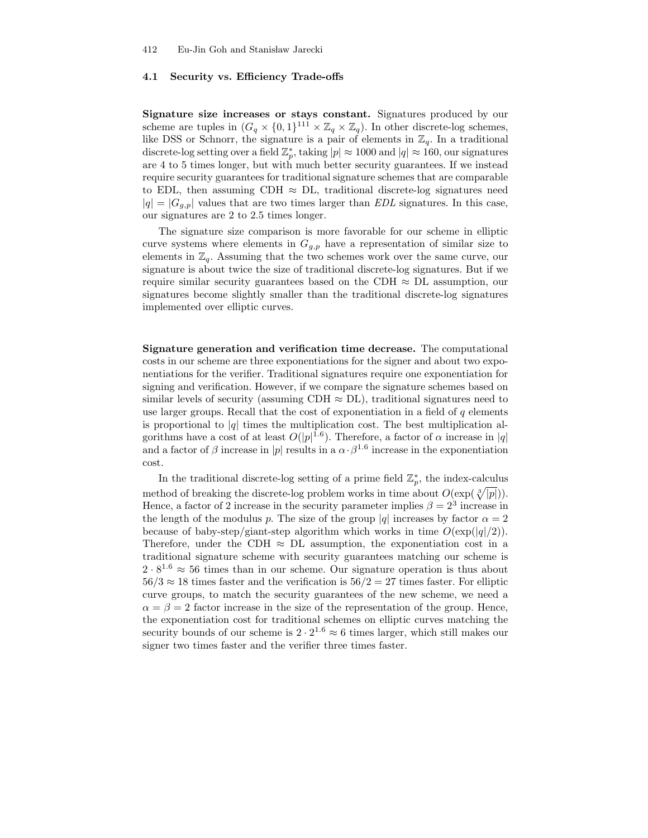#### 4.1 Security vs. Efficiency Trade-offs

Signature size increases or stays constant. Signatures produced by our scheme are tuples in  $(G_q \times \{0,1\}^{111} \times \mathbb{Z}_q \times \mathbb{Z}_q)$ . In other discrete-log schemes, like DSS or Schnorr, the signature is a pair of elements in  $\mathbb{Z}_q$ . In a traditional discrete-log setting over a field  $\mathbb{Z}_p^*$ , taking  $|p| \approx 1000$  and  $|q| \approx 160$ , our signatures are 4 to 5 times longer, but with much better security guarantees. If we instead require security guarantees for traditional signature schemes that are comparable to EDL, then assuming CDH  $\approx$  DL, traditional discrete-log signatures need  $|q| = |G_{g,p}|$  values that are two times larger than EDL signatures. In this case, our signatures are 2 to 2.5 times longer.

The signature size comparison is more favorable for our scheme in elliptic curve systems where elements in  $G_{g,p}$  have a representation of similar size to elements in  $\mathbb{Z}_q$ . Assuming that the two schemes work over the same curve, our signature is about twice the size of traditional discrete-log signatures. But if we require similar security guarantees based on the CDH  $\approx$  DL assumption, our signatures become slightly smaller than the traditional discrete-log signatures implemented over elliptic curves.

Signature generation and verification time decrease. The computational costs in our scheme are three exponentiations for the signer and about two exponentiations for the verifier. Traditional signatures require one exponentiation for signing and verification. However, if we compare the signature schemes based on similar levels of security (assuming CDH  $\approx$  DL), traditional signatures need to use larger groups. Recall that the cost of exponentiation in a field of  $q$  elements is proportional to  $|q|$  times the multiplication cost. The best multiplication algorithms have a cost of at least  $O(|p|^{1.6})$ . Therefore, a factor of  $\alpha$  increase in |q| and a factor of  $\beta$  increase in |p| results in a  $\alpha \cdot \beta^{1.6}$  increase in the exponentiation cost.

In the traditional discrete-log setting of a prime field  $\mathbb{Z}_p^*$ , the index-calculus method of breaking the discrete-log problem works in time about  $O(\exp(\sqrt[3]{|p|}))$ . Hence, a factor of 2 increase in the security parameter implies  $\beta = 2^3$  increase in the length of the modulus p. The size of the group |q| increases by factor  $\alpha = 2$ because of baby-step/giant-step algorithm which works in time  $O(\exp(|q|/2)).$ Therefore, under the CDH  $\approx$  DL assumption, the exponentiation cost in a traditional signature scheme with security guarantees matching our scheme is  $2 \cdot 8^{1.6} \approx 56$  times than in our scheme. Our signature operation is thus about  $56/3 \approx 18$  times faster and the verification is  $56/2 = 27$  times faster. For elliptic curve groups, to match the security guarantees of the new scheme, we need a  $\alpha = \beta = 2$  factor increase in the size of the representation of the group. Hence, the exponentiation cost for traditional schemes on elliptic curves matching the security bounds of our scheme is  $2 \cdot 2^{1.6} \approx 6$  times larger, which still makes our signer two times faster and the verifier three times faster.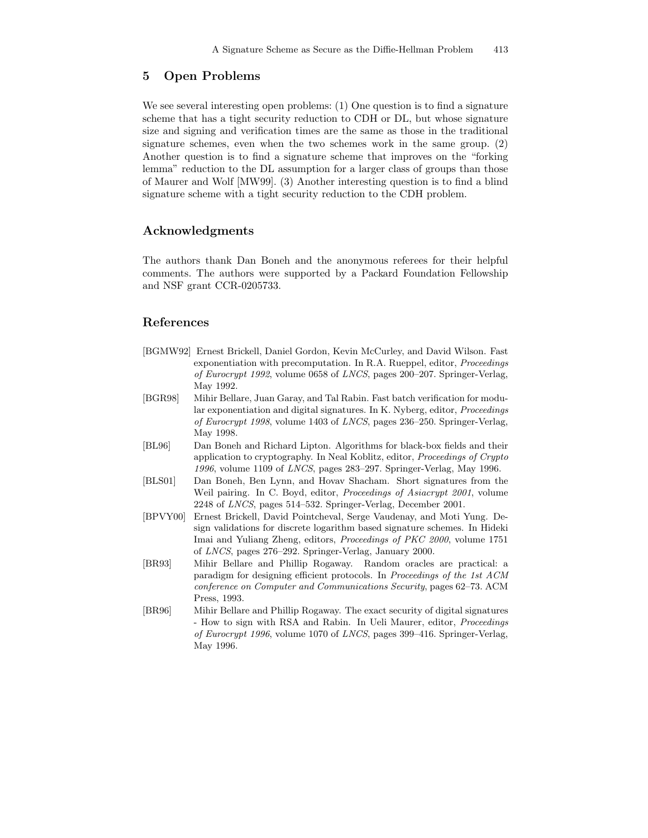# 5 Open Problems

We see several interesting open problems: (1) One question is to find a signature scheme that has a tight security reduction to CDH or DL, but whose signature size and signing and verification times are the same as those in the traditional signature schemes, even when the two schemes work in the same group. (2) Another question is to find a signature scheme that improves on the "forking lemma" reduction to the DL assumption for a larger class of groups than those of Maurer and Wolf [MW99]. (3) Another interesting question is to find a blind signature scheme with a tight security reduction to the CDH problem.

## Acknowledgments

The authors thank Dan Boneh and the anonymous referees for their helpful comments. The authors were supported by a Packard Foundation Fellowship and NSF grant CCR-0205733.

# References

- [BGMW92] Ernest Brickell, Daniel Gordon, Kevin McCurley, and David Wilson. Fast exponentiation with precomputation. In R.A. Rueppel, editor, *Proceedings* of Eurocrypt 1992, volume 0658 of LNCS, pages 200–207. Springer-Verlag, May 1992.
- [BGR98] Mihir Bellare, Juan Garay, and Tal Rabin. Fast batch verification for modular exponentiation and digital signatures. In K. Nyberg, editor, Proceedings of Eurocrypt 1998, volume 1403 of LNCS, pages 236–250. Springer-Verlag, May 1998.
- [BL96] Dan Boneh and Richard Lipton. Algorithms for black-box fields and their application to cryptography. In Neal Koblitz, editor, Proceedings of Crypto 1996, volume 1109 of LNCS, pages 283–297. Springer-Verlag, May 1996.
- [BLS01] Dan Boneh, Ben Lynn, and Hovav Shacham. Short signatures from the Weil pairing. In C. Boyd, editor, *Proceedings of Asiacrypt 2001*, volume 2248 of LNCS, pages 514–532. Springer-Verlag, December 2001.
- [BPVY00] Ernest Brickell, David Pointcheval, Serge Vaudenay, and Moti Yung. Design validations for discrete logarithm based signature schemes. In Hideki Imai and Yuliang Zheng, editors, Proceedings of PKC 2000, volume 1751 of LNCS, pages 276–292. Springer-Verlag, January 2000.
- [BR93] Mihir Bellare and Phillip Rogaway. Random oracles are practical: a paradigm for designing efficient protocols. In Proceedings of the 1st ACM conference on Computer and Communications Security, pages 62–73. ACM Press, 1993.
- [BR96] Mihir Bellare and Phillip Rogaway. The exact security of digital signatures - How to sign with RSA and Rabin. In Ueli Maurer, editor, Proceedings of Eurocrypt 1996, volume 1070 of LNCS, pages 399–416. Springer-Verlag, May 1996.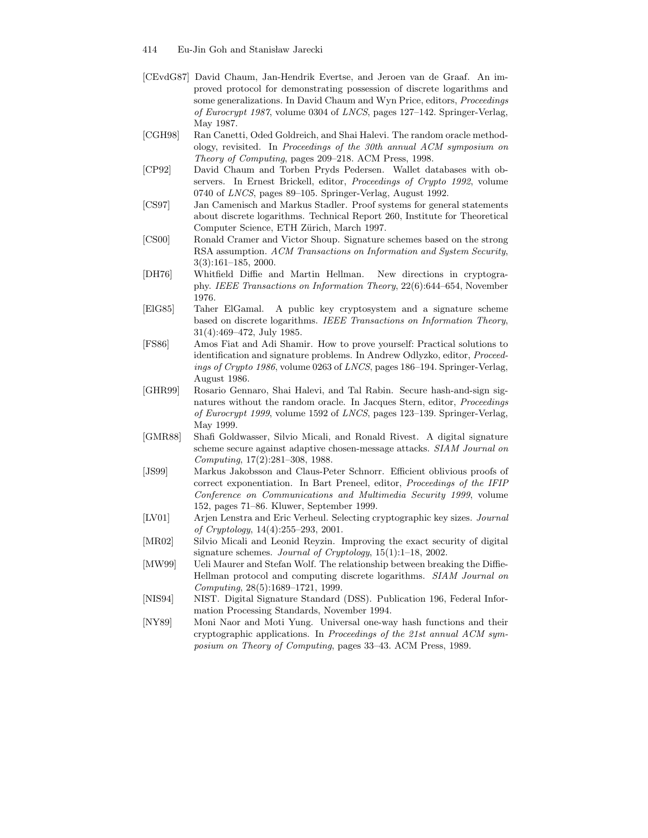- 414 Eu-Jin Goh and Stanisław Jarecki
- [CEvdG87] David Chaum, Jan-Hendrik Evertse, and Jeroen van de Graaf. An improved protocol for demonstrating possession of discrete logarithms and some generalizations. In David Chaum and Wyn Price, editors, Proceedings of Eurocrypt 1987, volume 0304 of LNCS, pages 127–142. Springer-Verlag, May 1987.
- [CGH98] Ran Canetti, Oded Goldreich, and Shai Halevi. The random oracle methodology, revisited. In Proceedings of the 30th annual ACM symposium on Theory of Computing, pages 209–218. ACM Press, 1998.
- [CP92] David Chaum and Torben Pryds Pedersen. Wallet databases with observers. In Ernest Brickell, editor, Proceedings of Crypto 1992, volume 0740 of LNCS, pages 89–105. Springer-Verlag, August 1992.
- [CS97] Jan Camenisch and Markus Stadler. Proof systems for general statements about discrete logarithms. Technical Report 260, Institute for Theoretical Computer Science, ETH Zürich, March 1997.
- [CS00] Ronald Cramer and Victor Shoup. Signature schemes based on the strong RSA assumption. ACM Transactions on Information and System Security, 3(3):161–185, 2000.
- [DH76] Whitfield Diffie and Martin Hellman. New directions in cryptography. IEEE Transactions on Information Theory, 22(6):644–654, November 1976.
- [ElG85] Taher ElGamal. A public key cryptosystem and a signature scheme based on discrete logarithms. IEEE Transactions on Information Theory, 31(4):469–472, July 1985.
- [FS86] Amos Fiat and Adi Shamir. How to prove yourself: Practical solutions to identification and signature problems. In Andrew Odlyzko, editor, Proceedings of Crypto 1986, volume 0263 of LNCS, pages 186–194. Springer-Verlag, August 1986.
- [GHR99] Rosario Gennaro, Shai Halevi, and Tal Rabin. Secure hash-and-sign signatures without the random oracle. In Jacques Stern, editor, Proceedings of Eurocrypt 1999, volume 1592 of LNCS, pages 123–139. Springer-Verlag, May 1999.
- [GMR88] Shafi Goldwasser, Silvio Micali, and Ronald Rivest. A digital signature scheme secure against adaptive chosen-message attacks. SIAM Journal on Computing, 17(2):281–308, 1988.
- [JS99] Markus Jakobsson and Claus-Peter Schnorr. Efficient oblivious proofs of correct exponentiation. In Bart Preneel, editor, Proceedings of the IFIP Conference on Communications and Multimedia Security 1999, volume 152, pages 71–86. Kluwer, September 1999.
- [LV01] Arjen Lenstra and Eric Verheul. Selecting cryptographic key sizes. Journal of Cryptology, 14(4):255–293, 2001.
- [MR02] Silvio Micali and Leonid Reyzin. Improving the exact security of digital signature schemes. Journal of Cryptology,  $15(1):1-18$ , 2002.
- [MW99] Ueli Maurer and Stefan Wolf. The relationship between breaking the Diffie-Hellman protocol and computing discrete logarithms. SIAM Journal on Computing, 28(5):1689–1721, 1999.
- [NIS94] NIST. Digital Signature Standard (DSS). Publication 196, Federal Information Processing Standards, November 1994.
- [NY89] Moni Naor and Moti Yung. Universal one-way hash functions and their cryptographic applications. In Proceedings of the 21st annual ACM symposium on Theory of Computing, pages 33–43. ACM Press, 1989.